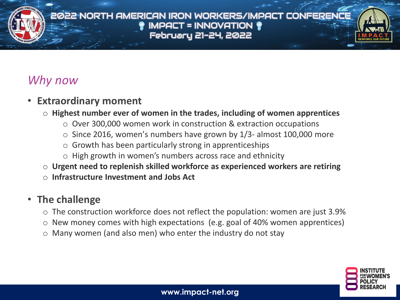# *Why now*

# • **Extraordinary moment**

- o **Highest number ever of women in the trades, including of women apprentices**
	- o Over 300,000 women work in construction & extraction occupations
	- $\circ$  Since 2016, women's numbers have grown by 1/3- almost 100,000 more
	- $\circ$  Growth has been particularly strong in apprenticeships
	- o High growth in women's numbers across race and ethnicity
- o **Urgent need to replenish skilled workforce as experienced workers are retiring**
- o **Infrastructure Investment and Jobs Act**

# • **The challenge**

- $\circ$  The construction workforce does not reflect the population: women are just 3.9%
- o New money comes with high expectations (e.g. goal of 40% women apprentices)
- o Many women (and also men) who enter the industry do not stay

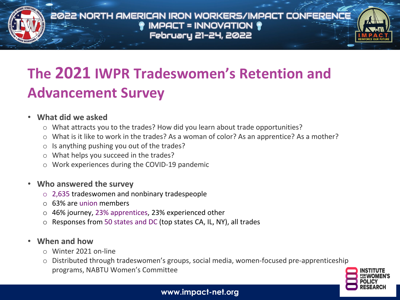

# **The 2021 IWPR Tradeswomen's Retention and Advancement Survey**

#### • **What did we asked**

- o What attracts you to the trades? How did you learn about trade opportunities?
- o What is it like to work in the trades? As a woman of color? As an apprentice? As a mother?
- $\circ$  Is anything pushing you out of the trades?
- o What helps you succeed in the trades?
- o Work experiences during the COVID-19 pandemic
- **Who answered the survey**
	- o 2,635 tradeswomen and nonbinary tradespeople
	- o 63% are union members
	- o 46% journey, 23% apprentices, 23% experienced other
	- o Responses from 50 states and DC (top states CA, IL, NY), all trades
- **When and how**
	- o Winter 2021 on-line
	- Distributed through tradeswomen's groups, social media, women-focused pre-apprenticeship programs, NABTU Women's Committee

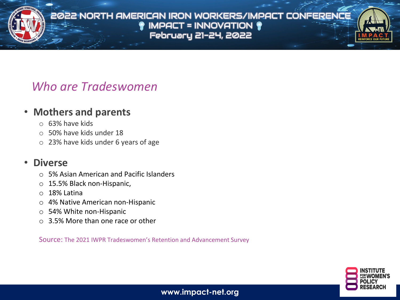

# *Who are Tradeswomen*

### • **Mothers and parents**

- o 63% have kids
- o 50% have kids under 18
- o 23% have kids under 6 years of age

### • **Diverse**

- o 5% Asian American and Pacific Islanders
- o 15.5% Black non-Hispanic,
- o 18% Latina
- o 4% Native American non-Hispanic
- o 54% White non-Hispanic
- o 3.5% More than one race or other

Source: The 2021 IWPR Tradeswomen's Retention and Advancement Survey

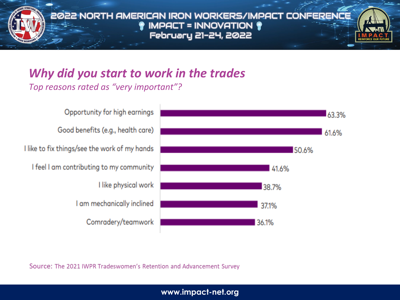

# *Why did you start to work in the trades*

*Top reasons rated as "very important"?* 

Opportunity for high earnings Good benefits (e.g., health care) I like to fix things/see the work of my hands I feel I am contributing to my community I like physical work I am mechanically inclined Comradery/teamwork



Source: The 2021 IWPR Tradeswomen's Retention and Advancement Survey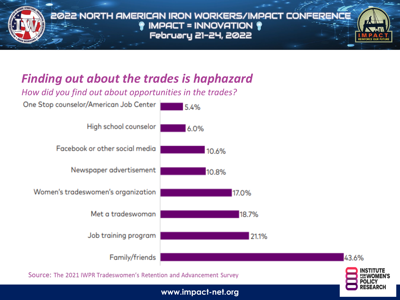

# *Finding out about the trades is haphazard*

*How did you find out about opportunities in the trades?* 



Source: The 2021 IWPR Tradeswomen's Retention and Advancement Survey

43.6%

**www.impact-net.org**